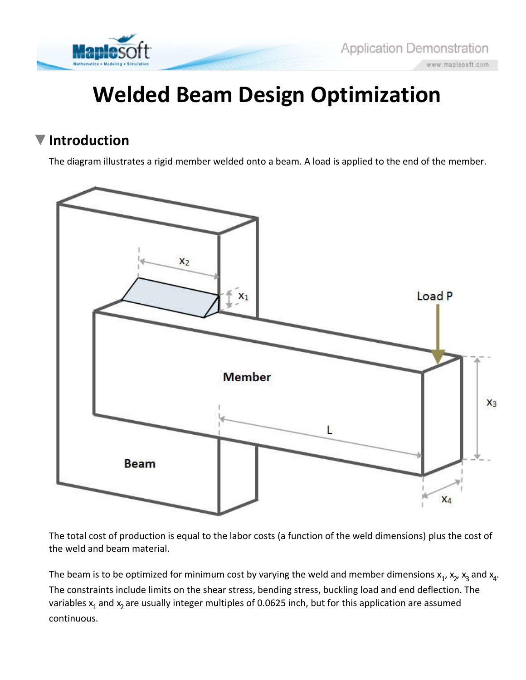

# **Welded Beam Design Optimization**

#### **Introduction**

The diagram illustrates a rigid member welded onto a beam. A load is applied to the end of the member.



The total cost of production is equal to the labor costs (a function of the weld dimensions) plus the cost of the weld and beam material.

The beam is to be optimized for minimum cost by varying the weld and member dimensions  $x_1$ ,  $x_2$ ,  $x_3$  and  $x_4$ . The constraints include limits on the shear stress, bending stress, buckling load and end deflection. The variables  $x_1$  and  $x_2$  are usually integer multiples of 0.0625 inch, but for this application are assumed continuous.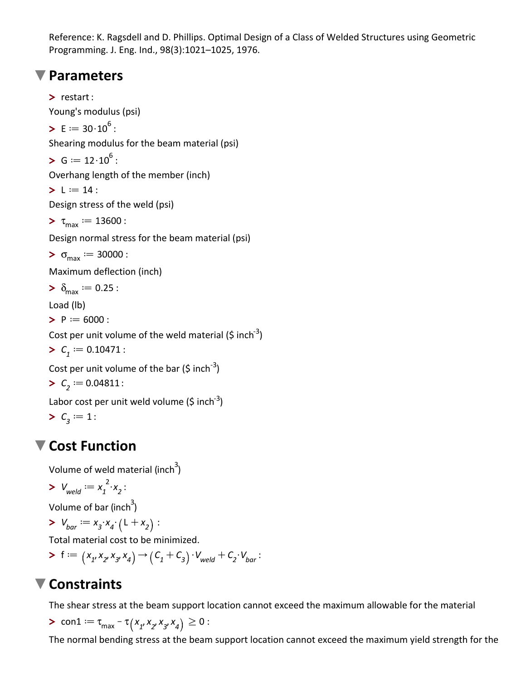Reference: K. Ragsdell and D. Phillips. Optimal Design of a Class of Welded Structures using Geometric Programming. J. Eng. Ind., 98(3):1021–1025, 1976.

#### **Parameters**

 $> \delta_{\text{max}} := 0.25$  :  $> L := 14$  :  $> C<sub>1</sub> := 0.10471$  :  $> C<sub>2</sub> := 0.04811$ :  $\blacktriangleright$  E  $:= 30 \cdot 10^6$  :  $> \sigma_{\text{max}} := 30000$  :  $\tau_{\text{max}} := 13600$  :  $> C_3 := 1$ :  $> G := 12 \cdot 10^6$  : **>** restart :  $\blacktriangleright$  P  $:= 6000$  : Young's modulus (psi) Shearing modulus for the beam material (psi) Overhang length of the member (inch) Design stress of the weld (psi) Design normal stress for the beam material (psi) Maximum deflection (inch) Load (lb) Cost per unit volume of the weld material (\$ inch<sup>-3</sup>) Cost per unit volume of the bar (\$ inch<sup>-3</sup>) Labor cost per unit weld volume (\$ inch<sup>-3</sup>)

### **Cost Function**

Volume of weld material (inch $^3)$ 

$$
\sum V_{\text{weld}} := x_1^2 \cdot x_2:
$$

Volume of bar (inch<sup>3</sup>)

> 
$$
V_{bar} := x_3 \cdot x_4 \cdot (L + x_2)
$$
:

Total material cost to be minimized.

$$
\triangleright f := (x_1, x_2, x_3, x_4) \rightarrow (C_1 + C_3) \cdot V_{\text{weld}} + C_2 \cdot V_{\text{bar}}:
$$

## **Constraints**

The shear stress at the beam support location cannot exceed the maximum allowable for the material

> con1 := 
$$
\tau_{max} - \tau (x_1, x_2, x_3, x_4) \ge 0
$$
:

The normal bending stress at the beam support location cannot exceed the maximum yield strength for the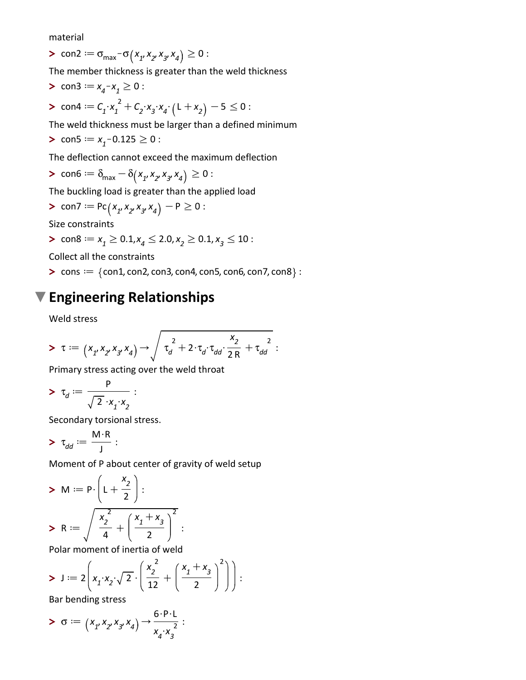material

 $\triangleright$  con2 =  $\sigma_{\text{max}}$  -  $\sigma(x_1, x_2, x_3, x_4) \ge 0$ :

The member thickness is greater than the weld thickness

> con3 := 
$$
x_4 - x_1 \ge 0
$$
:  
> con4 :=  $C_1 \cdot x_1^2 + C_2 \cdot x_3 \cdot x_4 \cdot (L + x_2) - 5 \le 0$ :

The weld thickness must be larger than a defined minimum

> 
$$
\text{con5} := x_1 - 0.125 \ge 0
$$
:

The deflection cannot exceed the maximum deflection

> con6 := 
$$
\delta_{\text{max}} - \delta(x_1, x_2, x_3, x_4) \ge 0
$$
:

The buckling load is greater than the applied load

> con7 := 
$$
PC(x_1, x_2, x_3, x_4) - P \ge 0
$$
:

Size constraints

$$
= \text{con8} := x_1 \ge 0.1, x_4 \le 2.0, x_2 \ge 0.1, x_3 \le 10:
$$

Collect all the constraints

 $\blacktriangleright$  cons  $:=$   $\{$  con1, con2, con3, con4, con5, con6, con7, con8 $\}$  :

#### **Engineering Relationships**

Weld stress

$$
> \tau := (x_{1}, x_{2}, x_{3}, x_{4}) \rightarrow \sqrt{\tau_{d}^{2} + 2 \cdot \tau_{d} \cdot \tau_{dd} \cdot \frac{x_{2}}{2 R} + \tau_{dd}^{2}}:
$$

Primary stress acting over the weld throat

$$
\mathbf{v}_d := \frac{P}{\sqrt{2} \cdot x_1 \cdot x_2}:
$$

Secondary torsional stress.

$$
\mathbf{v}_{dd} := \frac{M \cdot R}{J}:
$$

Moment of P about center of gravity of weld setup

$$
\triangleright M := \mathsf{P} \cdot \left( \mathsf{L} + \frac{\mathsf{x}_2}{2} \right) :
$$

$$
\triangleright R := \sqrt{\frac{\mathsf{x}_2^2}{4} + \left( \frac{\mathsf{x}_1 + \mathsf{x}_3}{2} \right)^2} :
$$

Polar moment of inertia of weld

$$
\triangleright \text{ J} := 2\left(x_1 \cdot x_2 \cdot \sqrt{2} \cdot \left(\frac{x_2^2}{12} + \left(\frac{x_1 + x_3}{2}\right)^2\right)\right) :
$$
  
Par bonding stress

Bar bending stress

$$
> \sigma := \left(x_1, x_2, x_3, x_4\right) \rightarrow \frac{6 \cdot P \cdot L}{x_4 \cdot x_3^2} :
$$